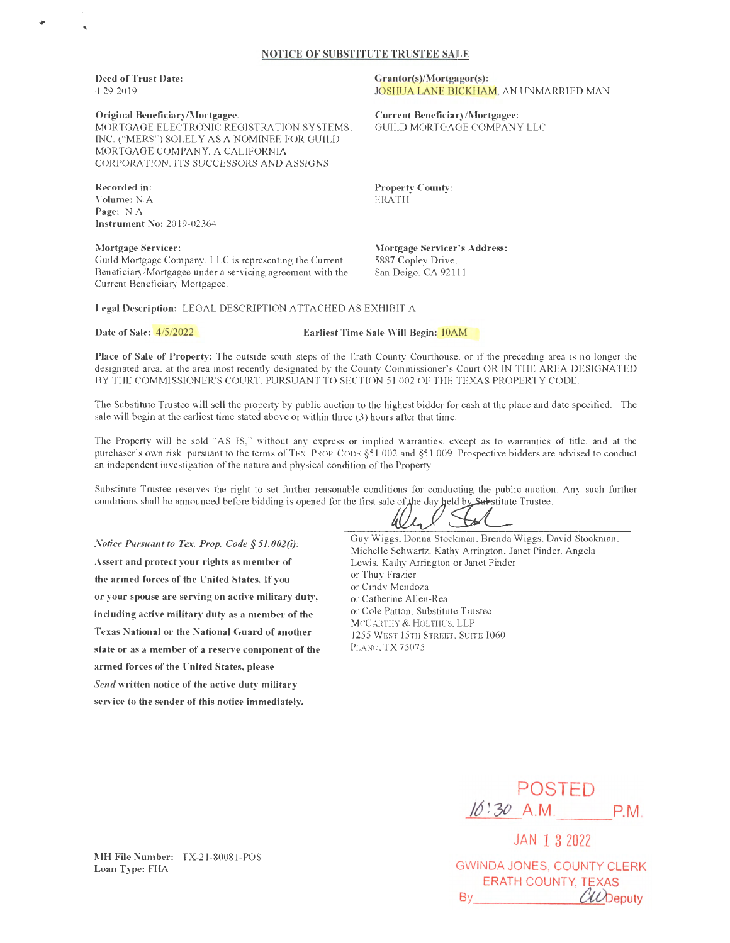## **NOTICE OF SUBSTITUTE TRUSTEE SALE**

**Deed of Trust Date:**  4/29/2019

'

## **Original Beneficiary/Mortgagee:**

MORTGAGE ELECTRONIC REGISTRATION SYSTEMS, INC. ("MERS") SOLELY AS A NOMINEE FOR GUILD MORTGAGE COMPANY, A CALIFORNIA CORPORATION, ITS SUCCESSORS AND ASSIGNS

**Recorded** in: **Volume:** N/A Page: NA **Instrument No:** 2019-02364

**Mortgage Servicer:** Guild Mortgage Company, LLC is representing the Current Beneficiary/Mortgagee under a servicing agreement with the Current Beneficiary Mortgagee

Grantor(s)/Mortgagor(s): JOSHUA LANE BICKHAM, AN UNMARRIED MAN

**Current Beneficiary/Mortgagee:** GUILD MORTGAGE COMPANY LLC

**Property County: ERATH** 

**Mortgage Servicer's Address:** 5887 Copley Drive, San Deigo, CA 92111

**Legal Description:** LEGAL DESCRIPTION ATTACHED AS EXHIBIT A

**Date of Sale:** 4/5/2022 **Earliest Time Sale WiU Begin:** 10AM

**Place of Sale of Property:** The outside south steps of the Erath County Courthouse, or if the preceding area is no longer the designated area, at the area most recently designated by the County Commissioner's Court OR IN THE AREA DESIGNATED BY THE COMMISSIONER'S COURT, PURSUANT TO SECTION 51.002 OF THE TEXAS PROPERTY CODE.

The Substitute Trustee will sell the property by public auction to the highest bidder for cash at the place and date specified. The sale will begin at the earliest time stated above or within three (3) hours after that time.

The Property will be sold "AS IS," without any express or implied warranties, except as to warranties of title, and at the purchaser's own risk, pursuant to the tenns of TEX. PROP. CODE §5 I.002 and §5 1.009. Prospective bidders are advised to conduct an independent investigation of the nature and physical condition of the Property.

Substitute Trustee reserves the right to set further reasonable conditions for conducting the public auction. Any such further purchaser s own risk. pursuant to the terms of TEX. PROP. CODE §51.002 and §51.009. Prospective bidders are<br>an independent investigation of the nature and physical condition of the Property.<br>Substitute Trustee reserves the

*Notice Pursuant to Tex. Prop. Code § 51.002(i):* Assert and protect your rights as member of **the armed forces of the United States.** If you **or your spouse are serving on active military duty,**  including active military duty as a member of the Texas National or the National Guard of another state or as a member of a reserve component of the **armed forces of the United States, please**  *Se11d* **w1itten notice of the active duty military service to the sender of this notice immediately.** 

Guy Wiggs, Donna Stockman, Brenda Wiggs, David Stockman,

Michelle Schwartz, Kathy Arrington, Janet Pinder, Angela Lewis, Kathy Arrington or Janet Pinder or Thuy Frazier or Cindy Mendoza or Catherine Allen-Rea or Cole Patton, Substitute Trustee McCARTHY & HOLTHUS, LLP 1255 WEST 15TH STREET , SUITE 1060 PLANO, TX75075



JAN **1** 3 2022 GWINDA JONES, COUNTY CLERK ERATH COUNTY. TEXAS By CLODeputy

**MH File Number:** TX-21-80081-POS **Loan Type:** FHA